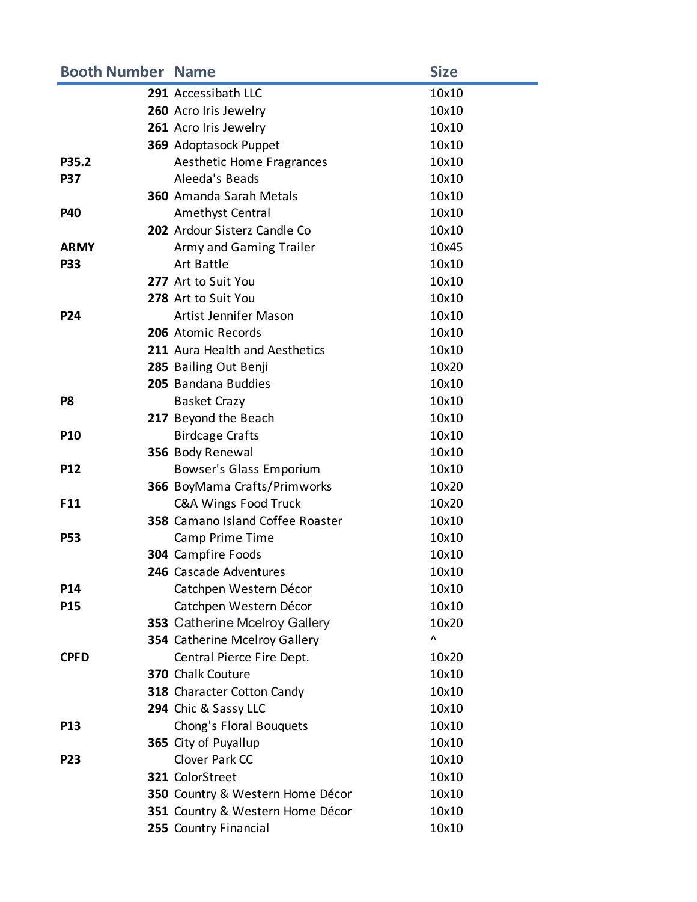| <b>Booth Number Name</b> |                                  | <b>Size</b> |
|--------------------------|----------------------------------|-------------|
|                          | 291 Accessibath LLC              | 10x10       |
|                          | 260 Acro Iris Jewelry            | 10x10       |
|                          | 261 Acro Iris Jewelry            | 10x10       |
|                          | 369 Adoptasock Puppet            | 10x10       |
| P35.2                    | Aesthetic Home Fragrances        | 10x10       |
| <b>P37</b>               | Aleeda's Beads                   | 10x10       |
|                          | <b>360</b> Amanda Sarah Metals   | 10x10       |
| <b>P40</b>               | Amethyst Central                 | 10x10       |
|                          | 202 Ardour Sisterz Candle Co     | 10x10       |
| <b>ARMY</b>              | Army and Gaming Trailer          | 10x45       |
| <b>P33</b>               | Art Battle                       | 10x10       |
|                          | 277 Art to Suit You              | 10x10       |
|                          | 278 Art to Suit You              | 10x10       |
| P24                      | Artist Jennifer Mason            | 10x10       |
|                          | 206 Atomic Records               | 10x10       |
|                          | 211 Aura Health and Aesthetics   | 10x10       |
|                          | 285 Bailing Out Benji            | 10x20       |
|                          | 205 Bandana Buddies              | 10x10       |
| P8                       | <b>Basket Crazy</b>              | 10x10       |
|                          | 217 Beyond the Beach             | 10x10       |
| <b>P10</b>               | <b>Birdcage Crafts</b>           | 10x10       |
|                          | 356 Body Renewal                 | 10x10       |
| <b>P12</b>               | Bowser's Glass Emporium          | 10x10       |
|                          | 366 BoyMama Crafts/Primworks     | 10x20       |
| F11                      | <b>C&amp;A Wings Food Truck</b>  | 10x20       |
|                          | 358 Camano Island Coffee Roaster | 10x10       |
| <b>P53</b>               | Camp Prime Time                  | 10x10       |
|                          | 304 Campfire Foods               | 10x10       |
|                          | 246 Cascade Adventures           | 10x10       |
| P14                      | Catchpen Western Décor           | 10x10       |
| P15                      | Catchpen Western Décor           | 10x10       |
|                          | 353 Catherine Mcelroy Gallery    | 10x20       |
|                          | 354 Catherine Mcelroy Gallery    | Λ           |
| <b>CPFD</b>              | Central Pierce Fire Dept.        | 10x20       |
|                          | 370 Chalk Couture                | 10x10       |
|                          | 318 Character Cotton Candy       | 10x10       |
|                          | 294 Chic & Sassy LLC             | 10x10       |
| P <sub>13</sub>          | Chong's Floral Bouquets          | 10x10       |
|                          | 365 City of Puyallup             | 10x10       |
| P23                      | Clover Park CC                   | 10x10       |
|                          | 321 ColorStreet                  | 10x10       |
|                          | 350 Country & Western Home Décor | 10x10       |
|                          | 351 Country & Western Home Décor | 10x10       |
|                          | 255 Country Financial            | 10x10       |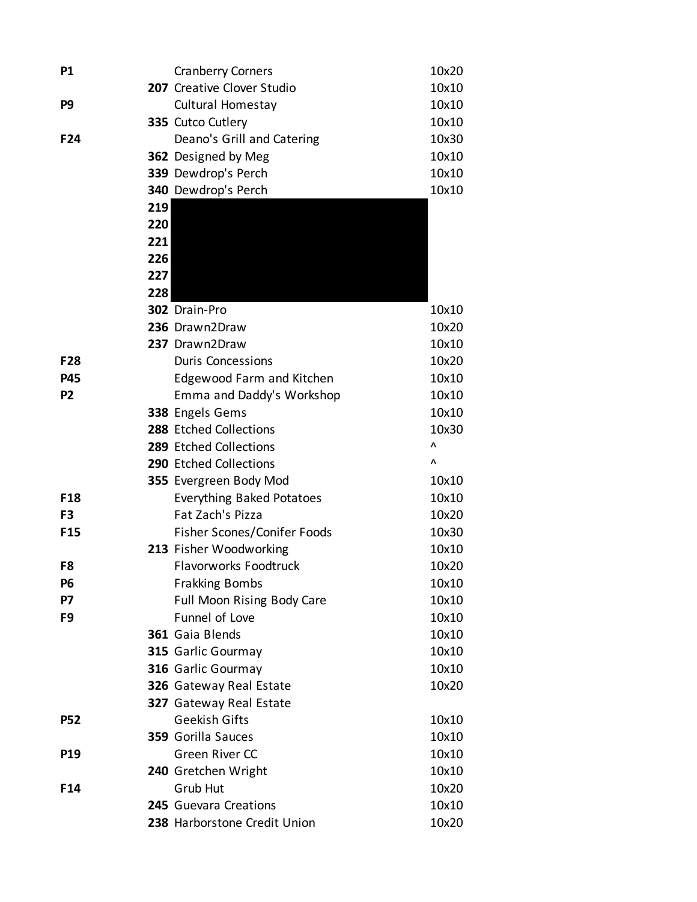| P <sub>1</sub>  |     | <b>Cranberry Corners</b>         | 10x20 |
|-----------------|-----|----------------------------------|-------|
|                 |     | 207 Creative Clover Studio       | 10x10 |
| P <sub>9</sub>  |     | Cultural Homestay                | 10x10 |
|                 |     | 335 Cutco Cutlery                | 10x10 |
| F24             |     | Deano's Grill and Catering       | 10x30 |
|                 |     | 362 Designed by Meg              | 10x10 |
|                 |     | 339 Dewdrop's Perch              | 10x10 |
|                 |     | 340 Dewdrop's Perch              | 10x10 |
|                 | 219 |                                  |       |
|                 | 220 |                                  |       |
|                 | 221 |                                  |       |
|                 | 226 |                                  |       |
|                 | 227 |                                  |       |
|                 | 228 |                                  |       |
|                 |     | 302 Drain-Pro                    | 10x10 |
|                 |     | 236 Drawn2Draw                   | 10x20 |
|                 |     | 237 Drawn2Draw                   | 10x10 |
| F28             |     | <b>Duris Concessions</b>         | 10x20 |
| <b>P45</b>      |     | <b>Edgewood Farm and Kitchen</b> | 10x10 |
| P <sub>2</sub>  |     | Emma and Daddy's Workshop        | 10x10 |
|                 |     | 338 Engels Gems                  | 10x10 |
|                 |     | 288 Etched Collections           | 10x30 |
|                 |     | 289 Etched Collections           | Λ     |
|                 |     | 290 Etched Collections           | Λ     |
|                 |     | 355 Evergreen Body Mod           | 10x10 |
| F <sub>18</sub> |     | <b>Everything Baked Potatoes</b> | 10x10 |
| F <sub>3</sub>  |     | Fat Zach's Pizza                 | 10x20 |
| F <sub>15</sub> |     | Fisher Scones/Conifer Foods      | 10x30 |
|                 |     | 213 Fisher Woodworking           | 10x10 |
| F8              |     | <b>Flavorworks Foodtruck</b>     | 10x20 |
| P6              |     | <b>Frakking Bombs</b>            | 10x10 |
| P7              |     | Full Moon Rising Body Care       | 10x10 |
| F <sub>9</sub>  |     | Funnel of Love                   | 10x10 |
|                 |     | 361 Gaia Blends                  | 10x10 |
|                 |     | 315 Garlic Gourmay               | 10x10 |
|                 |     | 316 Garlic Gourmay               | 10x10 |
|                 |     | 326 Gateway Real Estate          | 10x20 |
|                 |     | 327 Gateway Real Estate          |       |
| <b>P52</b>      |     | <b>Geekish Gifts</b>             | 10x10 |
|                 |     | 359 Gorilla Sauces               | 10x10 |
| <b>P19</b>      |     | <b>Green River CC</b>            | 10x10 |
|                 |     | 240 Gretchen Wright              | 10x10 |
| F <sub>14</sub> |     | Grub Hut                         | 10x20 |
|                 |     | 245 Guevara Creations            | 10x10 |
|                 |     | 238 Harborstone Credit Union     | 10x20 |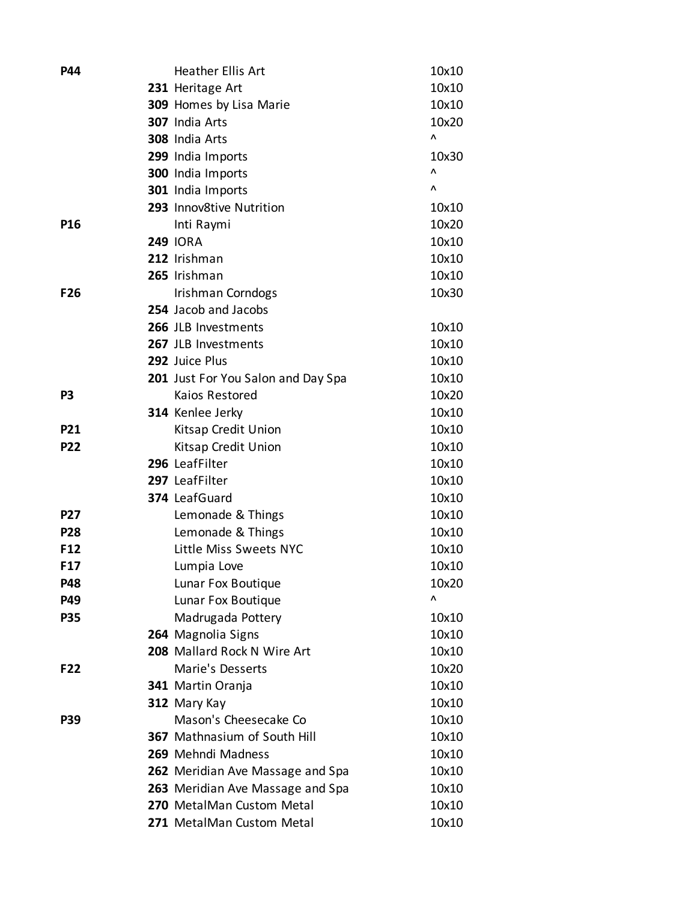| <b>P44</b>      | <b>Heather Ellis Art</b>                          | 10x10          |
|-----------------|---------------------------------------------------|----------------|
|                 | 231 Heritage Art                                  | 10x10          |
|                 | 309 Homes by Lisa Marie                           | 10x10          |
|                 | 307 India Arts                                    | 10x20          |
|                 | 308 India Arts                                    | ۸              |
|                 | 299 India Imports                                 | 10x30          |
|                 | 300 India Imports                                 | Λ              |
|                 | 301 India Imports                                 | Λ              |
|                 | 293 Innov8tive Nutrition                          | 10x10          |
| <b>P16</b>      | Inti Raymi                                        | 10x20          |
|                 | <b>249 IORA</b>                                   | 10x10          |
|                 | 212 Irishman                                      | 10x10          |
|                 | 265 Irishman                                      | 10x10          |
| F <sub>26</sub> | Irishman Corndogs                                 | 10x30          |
|                 | 254 Jacob and Jacobs                              |                |
|                 | 266 JLB Investments                               | 10x10          |
|                 | 267 JLB Investments                               | 10x10          |
|                 | 292 Juice Plus                                    | 10x10          |
|                 | 201 Just For You Salon and Day Spa                | 10x10          |
| P <sub>3</sub>  | Kaios Restored                                    | 10x20          |
|                 | 314 Kenlee Jerky                                  | 10x10          |
| <b>P21</b>      | Kitsap Credit Union                               | 10x10          |
| <b>P22</b>      | Kitsap Credit Union                               | 10x10          |
|                 | 296 LeafFilter                                    | 10x10          |
|                 | 297 LeafFilter                                    | 10x10          |
|                 | 374 LeafGuard                                     | 10x10          |
| <b>P27</b>      | Lemonade & Things                                 | 10x10          |
| <b>P28</b>      | Lemonade & Things                                 | 10x10          |
| F <sub>12</sub> | Little Miss Sweets NYC                            | 10x10          |
| F <sub>17</sub> | Lumpia Love                                       | 10x10          |
| <b>P48</b>      | Lunar Fox Boutique                                | 10x20<br>Λ     |
| P49             | Lunar Fox Boutique                                |                |
| <b>P35</b>      | Madrugada Pottery                                 | 10x10          |
|                 | 264 Magnolia Signs<br>208 Mallard Rock N Wire Art | 10x10          |
| F <sub>22</sub> | Marie's Desserts                                  | 10x10<br>10x20 |
|                 |                                                   | 10x10          |
|                 | 341 Martin Oranja<br>312 Mary Kay                 | 10x10          |
| <b>P39</b>      | Mason's Cheesecake Co                             | 10x10          |
|                 | <b>367</b> Mathnasium of South Hill               | 10x10          |
|                 | 269 Mehndi Madness                                | 10x10          |
|                 | 262 Meridian Ave Massage and Spa                  | 10x10          |
|                 | 263 Meridian Ave Massage and Spa                  | 10x10          |
|                 | 270 MetalMan Custom Metal                         | 10x10          |
|                 | 271 MetalMan Custom Metal                         | 10x10          |
|                 |                                                   |                |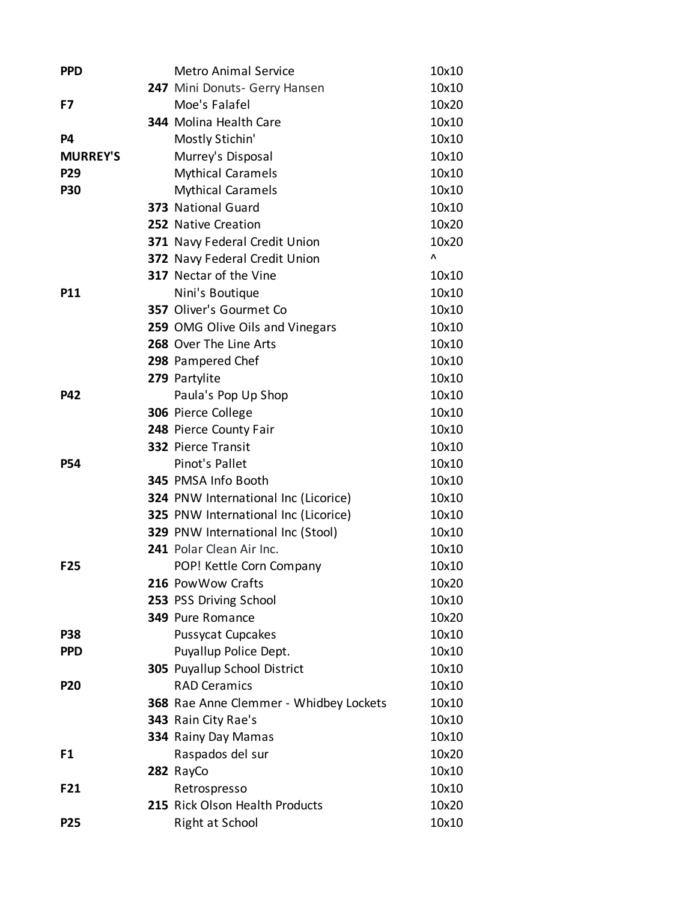| <b>PPD</b>      | <b>Metro Animal Service</b>            | 10x10 |
|-----------------|----------------------------------------|-------|
|                 | 247 Mini Donuts- Gerry Hansen          | 10x10 |
| F7              | Moe's Falafel                          | 10x20 |
|                 | 344 Molina Health Care                 | 10x10 |
| P4              | Mostly Stichin'                        | 10x10 |
| <b>MURREY'S</b> | Murrey's Disposal                      | 10x10 |
| P29             | <b>Mythical Caramels</b>               | 10x10 |
| <b>P30</b>      | <b>Mythical Caramels</b>               | 10x10 |
|                 | 373 National Guard                     | 10x10 |
|                 | 252 Native Creation                    | 10x20 |
|                 | 371 Navy Federal Credit Union          | 10x20 |
|                 | 372 Navy Federal Credit Union          | ۸     |
|                 | <b>317</b> Nectar of the Vine          | 10x10 |
| <b>P11</b>      | Nini's Boutique                        | 10x10 |
|                 | 357 Oliver's Gourmet Co                | 10x10 |
|                 | 259 OMG Olive Oils and Vinegars        | 10x10 |
|                 | 268 Over The Line Arts                 | 10x10 |
|                 | 298 Pampered Chef                      | 10x10 |
|                 | 279 Partylite                          | 10x10 |
| <b>P42</b>      | Paula's Pop Up Shop                    | 10x10 |
|                 | 306 Pierce College                     | 10x10 |
|                 | 248 Pierce County Fair                 | 10x10 |
|                 | 332 Pierce Transit                     | 10x10 |
| <b>P54</b>      | Pinot's Pallet                         | 10x10 |
|                 | 345 PMSA Info Booth                    | 10x10 |
|                 | 324 PNW International Inc (Licorice)   | 10x10 |
|                 | 325 PNW International Inc (Licorice)   | 10x10 |
|                 | 329 PNW International Inc (Stool)      | 10x10 |
|                 | 241 Polar Clean Air Inc.               | 10x10 |
| F25             | POP! Kettle Corn Company               | 10x10 |
|                 | 216 Pow Wow Crafts                     | 10x20 |
|                 | 253 PSS Driving School                 | 10x10 |
|                 | 349 Pure Romance                       | 10x20 |
| <b>P38</b>      | Pussycat Cupcakes                      | 10x10 |
| <b>PPD</b>      | Puyallup Police Dept.                  | 10x10 |
|                 | 305 Puyallup School District           | 10x10 |
| <b>P20</b>      | <b>RAD Ceramics</b>                    | 10x10 |
|                 | 368 Rae Anne Clemmer - Whidbey Lockets | 10x10 |
|                 | 343 Rain City Rae's                    | 10x10 |
|                 | 334 Rainy Day Mamas                    | 10x10 |
| F1              | Raspados del sur                       | 10x20 |
|                 | 282 RayCo                              | 10x10 |
| F21             | Retrospresso                           | 10x10 |
|                 | 215 Rick Olson Health Products         | 10x20 |
| <b>P25</b>      | Right at School                        | 10x10 |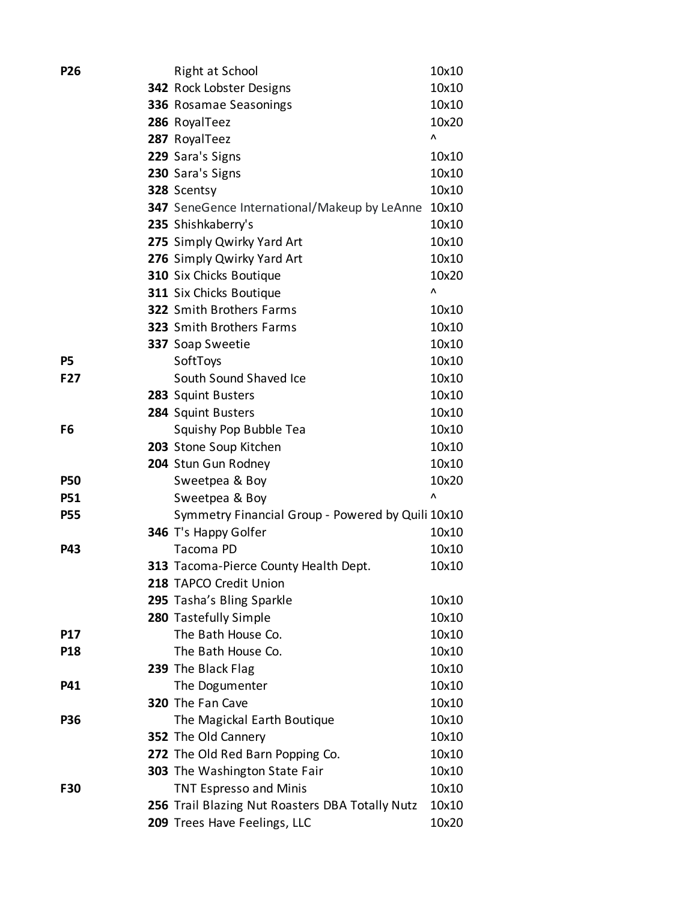| <b>P26</b> | Right at School                                   | 10x10          |
|------------|---------------------------------------------------|----------------|
|            | <b>342</b> Rock Lobster Designs                   | 10x10          |
|            | 336 Rosamae Seasonings                            | 10x10          |
|            | 286 RoyalTeez                                     | 10x20          |
|            | 287 RoyalTeez                                     | ۸              |
|            | 229 Sara's Signs                                  | 10x10          |
|            | 230 Sara's Signs                                  | 10x10          |
|            | 328 Scentsy                                       | 10x10          |
|            | 347 SeneGence International/Makeup by LeAnne      | 10x10          |
|            | 235 Shishkaberry's                                | 10x10          |
|            | 275 Simply Qwirky Yard Art                        | 10x10          |
|            | 276 Simply Qwirky Yard Art                        | 10x10          |
|            | 310 Six Chicks Boutique                           | 10x20          |
|            | 311 Six Chicks Boutique                           | Λ              |
|            | <b>322</b> Smith Brothers Farms                   | 10x10          |
|            | <b>323</b> Smith Brothers Farms                   | 10x10          |
|            | 337 Soap Sweetie                                  | 10x10          |
| P5         | SoftToys                                          | 10x10          |
| F27        | South Sound Shaved Ice                            | 10x10          |
|            | 283 Squint Busters                                | 10x10          |
|            | 284 Squint Busters                                | 10x10          |
| F6         | Squishy Pop Bubble Tea                            | 10x10          |
|            | 203 Stone Soup Kitchen                            | 10x10          |
|            | 204 Stun Gun Rodney                               | 10x10          |
| <b>P50</b> | Sweetpea & Boy                                    | 10x20          |
| <b>P51</b> | Sweetpea & Boy                                    | Λ              |
| <b>P55</b> | Symmetry Financial Group - Powered by Quili 10x10 |                |
|            | 346 T's Happy Golfer                              | 10x10          |
| <b>P43</b> | Tacoma PD                                         | 10x10          |
|            | 313 Tacoma-Pierce County Health Dept.             | 10x10          |
|            | 218 TAPCO Credit Union                            |                |
|            | 295 Tasha's Bling Sparkle                         | 10x10          |
|            | 280 Tastefully Simple                             | 10x10          |
| <b>P17</b> | The Bath House Co.                                | 10x10          |
| <b>P18</b> | The Bath House Co.                                | 10x10          |
|            | 239 The Black Flag                                | 10x10<br>10x10 |
| <b>P41</b> | The Dogumenter<br>320 The Fan Cave                | 10x10          |
| <b>P36</b> | The Magickal Earth Boutique                       | 10x10          |
|            | 352 The Old Cannery                               | 10x10          |
|            | 272 The Old Red Barn Popping Co.                  | 10x10          |
|            | <b>303</b> The Washington State Fair              | 10x10          |
| <b>F30</b> | <b>TNT Espresso and Minis</b>                     | 10x10          |
|            | 256 Trail Blazing Nut Roasters DBA Totally Nutz   | 10x10          |
|            | 209 Trees Have Feelings, LLC                      | 10x20          |
|            |                                                   |                |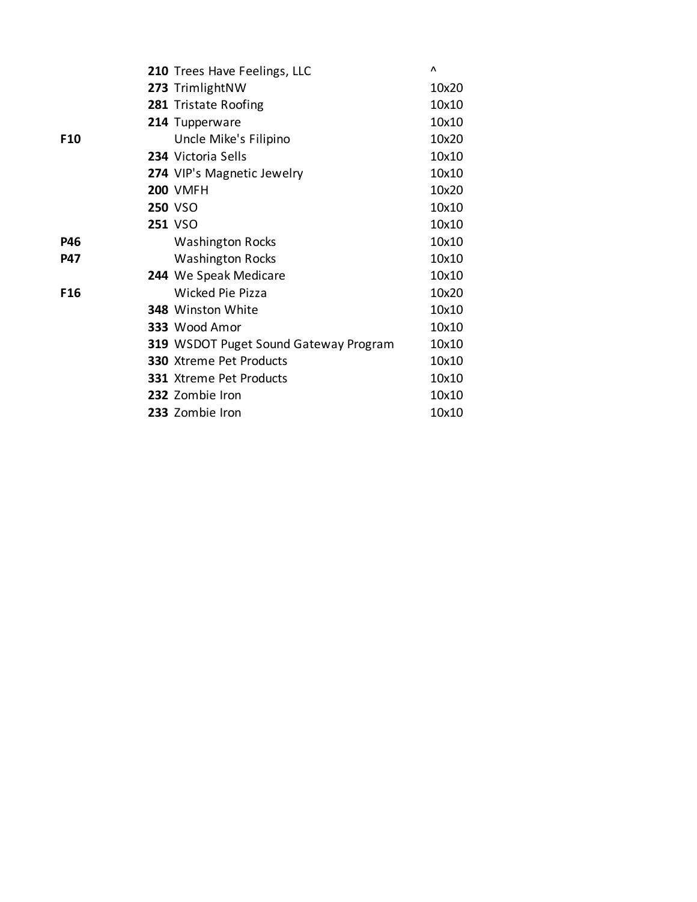|                 | 210 Trees Have Feelings, LLC          | Λ     |
|-----------------|---------------------------------------|-------|
|                 | 273 TrimlightNW                       | 10x20 |
|                 | 281 Tristate Roofing                  | 10x10 |
|                 | 214 Tupperware                        | 10x10 |
| F <sub>10</sub> | Uncle Mike's Filipino                 | 10x20 |
|                 | 234 Victoria Sells                    | 10x10 |
|                 | 274 VIP's Magnetic Jewelry            | 10x10 |
|                 | <b>200 VMFH</b>                       | 10x20 |
|                 | <b>250 VSO</b>                        | 10x10 |
|                 | <b>251 VSO</b>                        | 10x10 |
| <b>P46</b>      | <b>Washington Rocks</b>               | 10x10 |
| <b>P47</b>      | <b>Washington Rocks</b>               | 10x10 |
|                 | 244 We Speak Medicare                 | 10x10 |
| F <sub>16</sub> | Wicked Pie Pizza                      | 10x20 |
|                 | 348 Winston White                     | 10x10 |
|                 | 333 Wood Amor                         | 10x10 |
|                 | 319 WSDOT Puget Sound Gateway Program | 10x10 |
|                 | <b>330</b> Xtreme Pet Products        | 10x10 |
|                 | 331 Xtreme Pet Products               | 10x10 |
|                 | 232 Zombie Iron                       | 10x10 |
|                 | 233 Zombie Iron                       | 10x10 |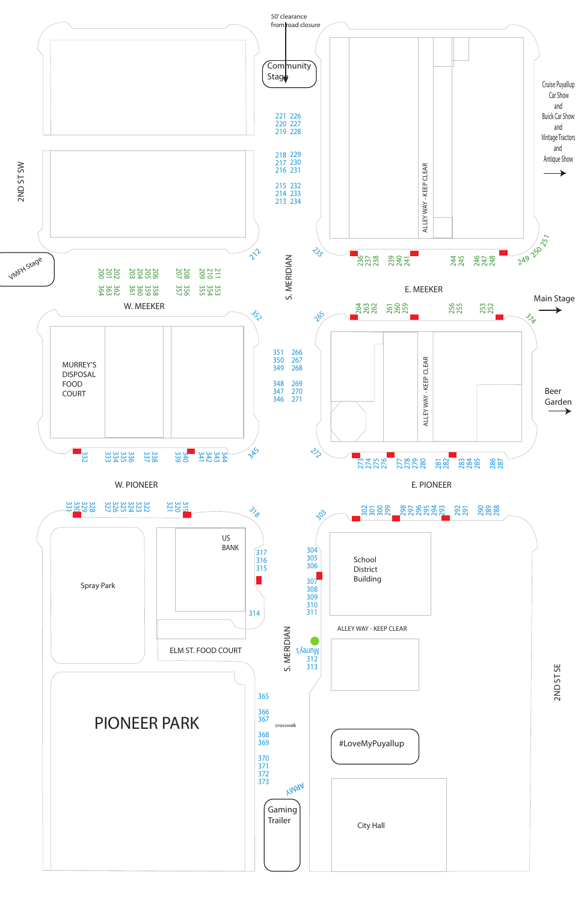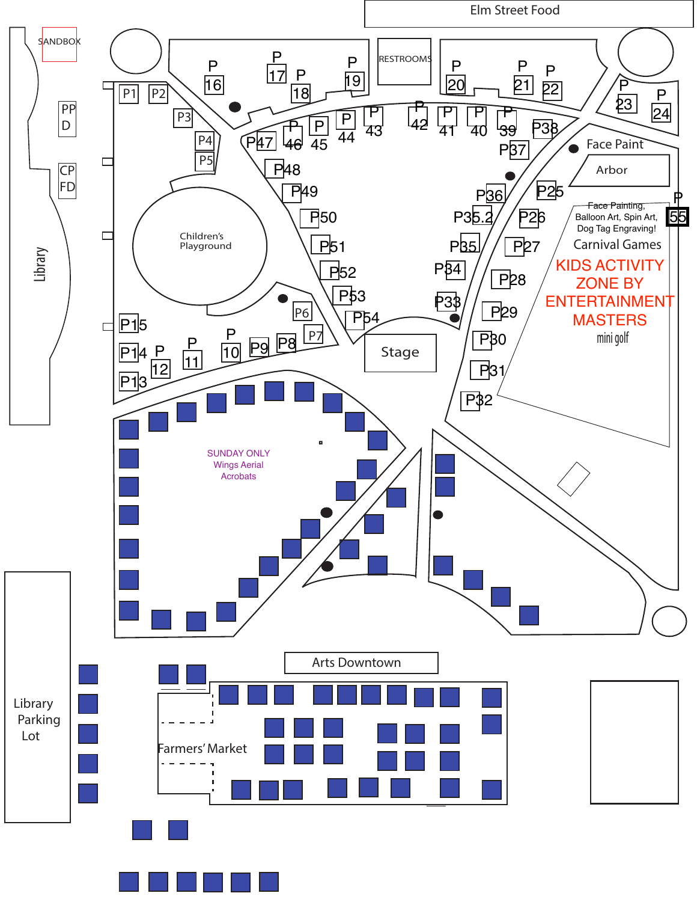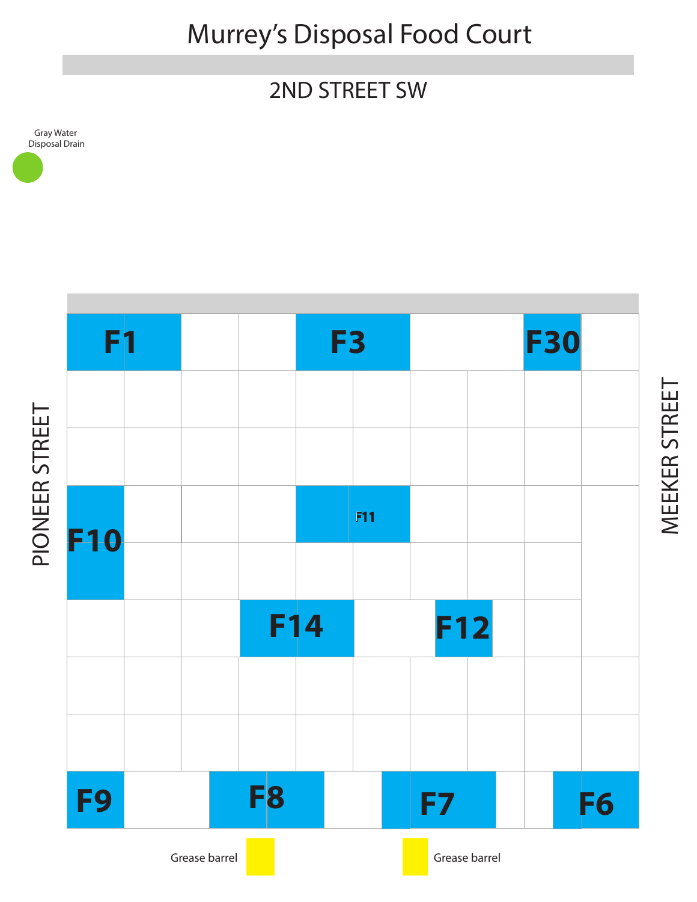Murrey's Disposal Food Court

## 2ND STREET SW

Gray Water Disposal Drain



MEEKER STREET MEEKER STREET